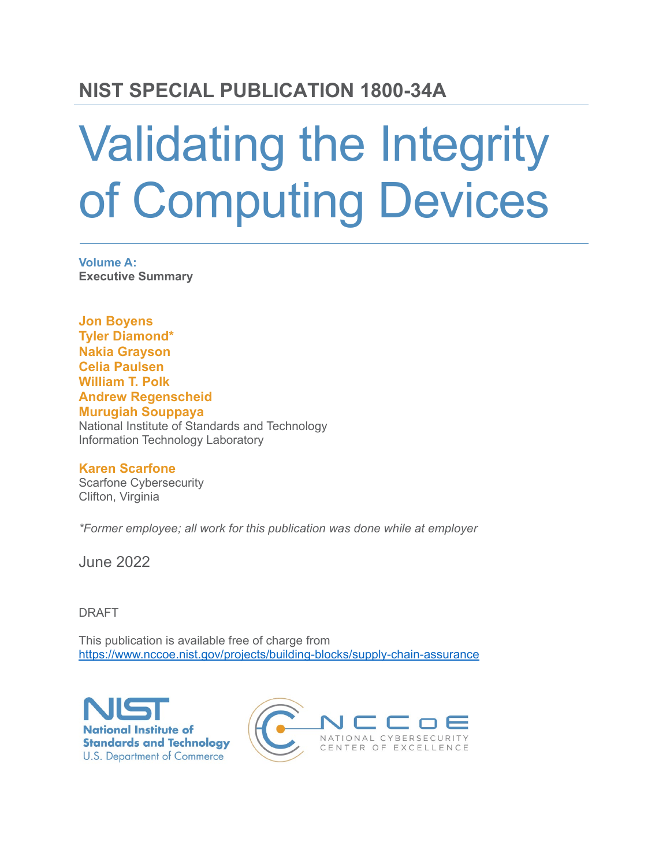## **NIST SPECIAL PUBLICATION 1800-34A**

# Validating the Integrity of Computing Devices

**Volume A: Executive Summary**

**Jon Boyens Tyler Diamond\* Nakia Grayson Celia Paulsen William T. Polk Andrew Regenscheid Murugiah Souppaya** National Institute of Standards and Technology Information Technology Laboratory

#### **Karen Scarfone**

Scarfone Cybersecurity Clifton, Virginia

*\*Former employee; all work for this publication was done while at employer*

June 2022

DRAFT

This publication is available free of charge from https://www.nccoe.nist.gov/projects/building-blocks/supply-chain-assurance



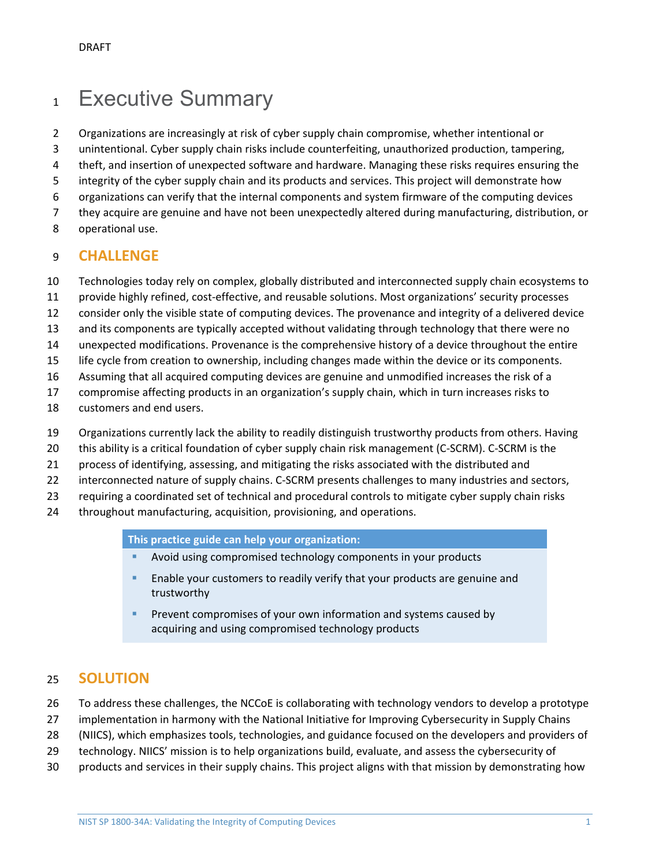## 1 Executive Summary

- 2 Organizations are increasingly at risk of cyber supply chain compromise, whether intentional or
- 3 unintentional. Cyber supply chain risks include counterfeiting, unauthorized production, tampering,
- 4 theft, and insertion of unexpected software and hardware. Managing these risks requires ensuring the
- 5 integrity of the cyber supply chain and its products and services. This project will demonstrate how
- 6 organizations can verify that the internal components and system firmware of the computing devices
- 7 they acquire are genuine and have not been unexpectedly altered during manufacturing, distribution, or
- 8 operational use.

#### 9 **CHALLENGE**

- 10 Technologies today rely on complex, globally distributed and interconnected supply chain ecosystems to
- 11 provide highly refined, cost-effective, and reusable solutions. Most organizations' security processes
- 12 consider only the visible state of computing devices. The provenance and integrity of a delivered device
- 13 and its components are typically accepted without validating through technology that there were no
- 14 unexpected modifications. Provenance is the comprehensive history of a device throughout the entire
- 15 life cycle from creation to ownership, including changes made within the device or its components.
- 16 Assuming that all acquired computing devices are genuine and unmodified increases the risk of a
- 17 compromise affecting products in an organization's supply chain, which in turn increases risks to
- 18 customers and end users.
- 19 Organizations currently lack the ability to readily distinguish trustworthy products from others. Having
- 20 this ability is a critical foundation of cyber supply chain risk management (C-SCRM). C-SCRM is the
- 21 process of identifying, assessing, and mitigating the risks associated with the distributed and
- 22 interconnected nature of supply chains. C-SCRM presents challenges to many industries and sectors,
- 23 requiring a coordinated set of technical and procedural controls to mitigate cyber supply chain risks
- 24 throughout manufacturing, acquisition, provisioning, and operations.

**This practice guide can help your organization:**

- Avoid using compromised technology components in your products
- Enable your customers to readily verify that your products are genuine and trustworthy
- Prevent compromises of your own information and systems caused by acquiring and using compromised technology products

#### 25 **SOLUTION**

- 26 To address these challenges, the NCCoE is collaborating with technology vendors to develop a prototype
- 27 implementation in harmony with the National Initiative for Improving Cybersecurity in Supply Chains
- 28 (NIICS), which emphasizes tools, technologies, and guidance focused on the developers and providers of
- 29 technology. NIICS' mission is to help organizations build, evaluate, and assess the cybersecurity of
- 30 products and services in their supply chains. This project aligns with that mission by demonstrating how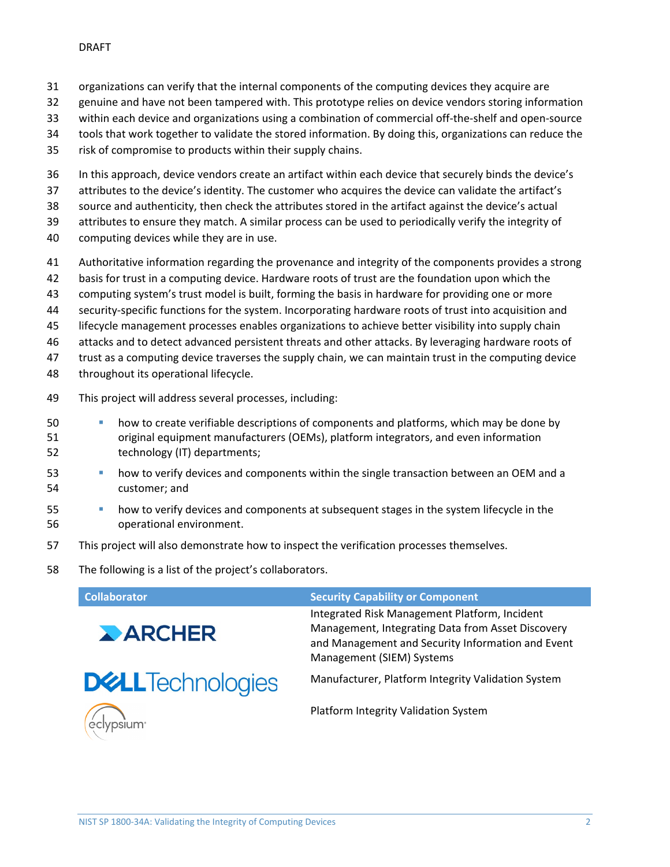- organizations can verify that the internal components of the computing devices they acquire are
- genuine and have not been tampered with. This prototype relies on device vendors storing information
- within each device and organizations using a combination of commercial off-the-shelf and open-source
- tools that work together to validate the stored information. By doing this, organizations can reduce the
- risk of compromise to products within their supply chains.
- In this approach, device vendors create an artifact within each device that securely binds the device's
- attributes to the device's identity. The customer who acquires the device can validate the artifact's
- source and authenticity, then check the attributes stored in the artifact against the device's actual
- attributes to ensure they match. A similar process can be used to periodically verify the integrity of
- computing devices while they are in use.
- Authoritative information regarding the provenance and integrity of the components provides a strong
- basis for trust in a computing device. Hardware roots of trust are the foundation upon which the
- computing system's trust model is built, forming the basis in hardware for providing one or more
- security-specific functions for the system. Incorporating hardware roots of trust into acquisition and
- lifecycle management processes enables organizations to achieve better visibility into supply chain
- attacks and to detect advanced persistent threats and other attacks. By leveraging hardware roots of
- trust as a computing device traverses the supply chain, we can maintain trust in the computing device
- 48 throughout its operational lifecycle.
- This project will address several processes, including:
- how to create verifiable descriptions of components and platforms, which may be done by original equipment manufacturers (OEMs), platform integrators, and even information technology (IT) departments;
- how to verify devices and components within the single transaction between an OEM and a customer; and
- how to verify devices and components at subsequent stages in the system lifecycle in the operational environment.
- This project will also demonstrate how to inspect the verification processes themselves.
- The following is a list of the project's collaborators.

| <b>Collaborator</b>                                                   | <b>Security Capability or Component</b>                                                                                                                                              |
|-----------------------------------------------------------------------|--------------------------------------------------------------------------------------------------------------------------------------------------------------------------------------|
| ARCHER                                                                | Integrated Risk Management Platform, Incident<br>Management, Integrating Data from Asset Discovery<br>and Management and Security Information and Event<br>Management (SIEM) Systems |
| <b>DELL</b> Technologies                                              | Manufacturer, Platform Integrity Validation System                                                                                                                                   |
| $\left(\begin{smallmatrix}\n\alpha\\ \beta\n\end{smallmatrix}\right)$ | Platform Integrity Validation System                                                                                                                                                 |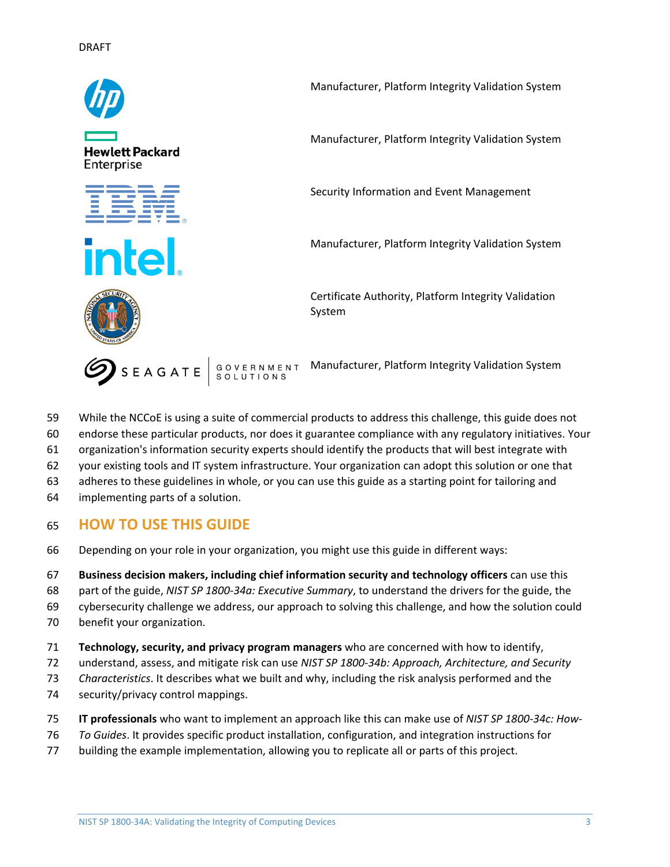

- While the NCCoE is using a suite of commercial products to address this challenge, this guide does not
- endorse these particular products, nor does it guarantee compliance with any regulatory initiatives. Your
- organization's information security experts should identify the products that will best integrate with
- your existing tools and IT system infrastructure. Your organization can adopt this solution or one that
- adheres to these guidelines in whole, or you can use this guide as a starting point for tailoring and
- implementing parts of a solution.

### **HOW TO USE THIS GUIDE**

- Depending on your role in your organization, you might use this guide in different ways:
- **Business decision makers, including chief information security and technology officers** can use this
- part of the guide, *NIST SP 1800-34a: Executive Summary*, to understand the drivers for the guide, the
- cybersecurity challenge we address, our approach to solving this challenge, and how the solution could
- benefit your organization.
- **Technology, security, and privacy program managers** who are concerned with how to identify,
- understand, assess, and mitigate risk can use *NIST SP 1800-34b: Approach, Architecture, and Security*
- *Characteristics*. It describes what we built and why, including the risk analysis performed and the
- security/privacy control mappings.
- **IT professionals** who want to implement an approach like this can make use of *NIST SP 1800-34c: How-*
- *To Guides*. It provides specific product installation, configuration, and integration instructions for
- building the example implementation, allowing you to replicate all or parts of this project.